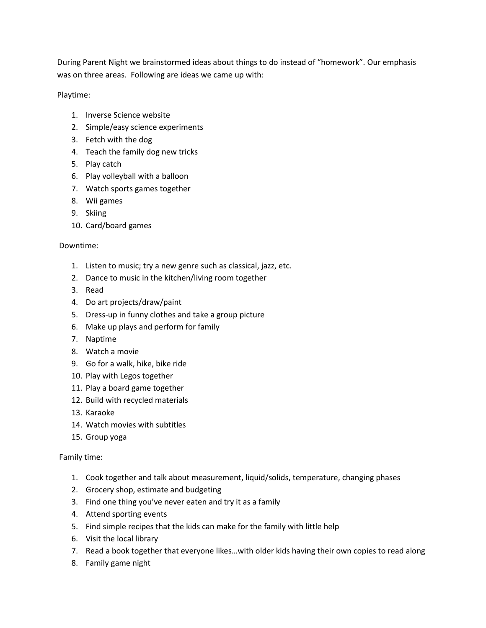During Parent Night we brainstormed ideas about things to do instead of "homework". Our emphasis was on three areas. Following are ideas we came up with:

Playtime:

- 1. Inverse Science website
- 2. Simple/easy science experiments
- 3. Fetch with the dog
- 4. Teach the family dog new tricks
- 5. Play catch
- 6. Play volleyball with a balloon
- 7. Watch sports games together
- 8. Wii games
- 9. Skiing
- 10. Card/board games

## Downtime:

- 1. Listen to music; try a new genre such as classical, jazz, etc.
- 2. Dance to music in the kitchen/living room together
- 3. Read
- 4. Do art projects/draw/paint
- 5. Dress-up in funny clothes and take a group picture
- 6. Make up plays and perform for family
- 7. Naptime
- 8. Watch a movie
- 9. Go for a walk, hike, bike ride
- 10. Play with Legos together
- 11. Play a board game together
- 12. Build with recycled materials
- 13. Karaoke
- 14. Watch movies with subtitles
- 15. Group yoga

## Family time:

- 1. Cook together and talk about measurement, liquid/solids, temperature, changing phases
- 2. Grocery shop, estimate and budgeting
- 3. Find one thing you've never eaten and try it as a family
- 4. Attend sporting events
- 5. Find simple recipes that the kids can make for the family with little help
- 6. Visit the local library
- 7. Read a book together that everyone likes…with older kids having their own copies to read along
- 8. Family game night